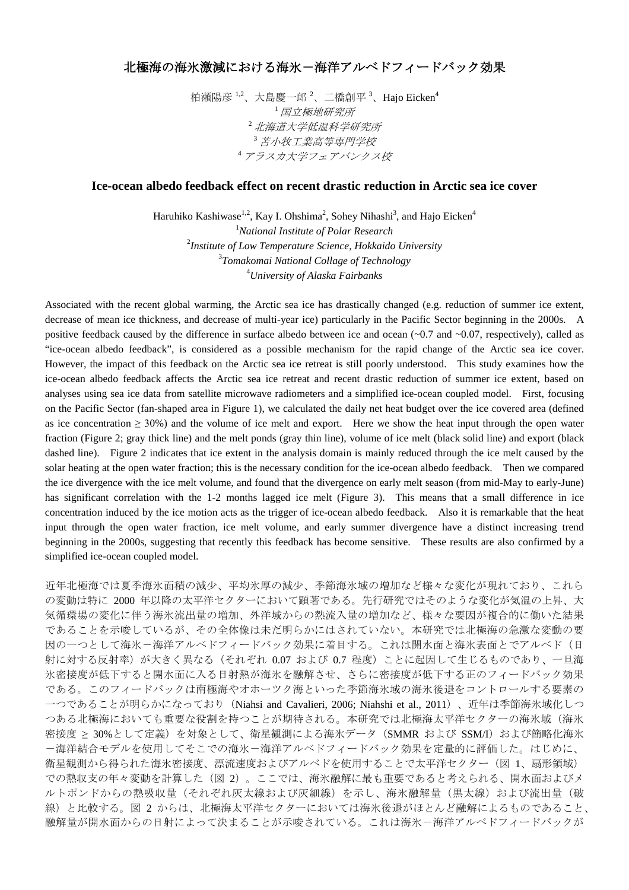## 北極海の海氷激減における海氷-海洋アルベドフィードバック効果

柏瀬陽彦 <sup>1,2</sup>、大島慶一郎 <sup>2</sup>、二橋創平 <sup>3</sup>、Hajo Eicken<sup>4</sup> <sup>1</sup>国立極地研究所 <sup>2</sup>北海道大学低温科学研究所 <sup>3</sup>苫小牧工業高等専門学校 <sup>4</sup>アラスカ大学フェアバンクス校

## **Ice-ocean albedo feedback effect on recent drastic reduction in Arctic sea ice cover**

Haruhiko Kashiwase $^{1,2}$ , Kay I. Ohshima $^2$ , Sohey Nihashi $^3$ , and Hajo Eicken $^4$  *National Institute of Polar Research Institute of Low Temperature Science, Hokkaido University Tomakomai National Collage of Technology University of Alaska Fairbanks*

Associated with the recent global warming, the Arctic sea ice has drastically changed (e.g. reduction of summer ice extent, decrease of mean ice thickness, and decrease of multi-year ice) particularly in the Pacific Sector beginning in the 2000s. A positive feedback caused by the difference in surface albedo between ice and ocean  $(-0.7 \text{ and } -0.07$ , respectively), called as "ice-ocean albedo feedback", is considered as a possible mechanism for the rapid change of the Arctic sea ice cover. However, the impact of this feedback on the Arctic sea ice retreat is still poorly understood. This study examines how the ice-ocean albedo feedback affects the Arctic sea ice retreat and recent drastic reduction of summer ice extent, based on analyses using sea ice data from satellite microwave radiometers and a simplified ice-ocean coupled model. First, focusing on the Pacific Sector (fan-shaped area in Figure 1), we calculated the daily net heat budget over the ice covered area (defined as ice concentration  $\geq 30\%$ ) and the volume of ice melt and export. Here we show the heat input through the open water fraction (Figure 2; gray thick line) and the melt ponds (gray thin line), volume of ice melt (black solid line) and export (black dashed line). Figure 2 indicates that ice extent in the analysis domain is mainly reduced through the ice melt caused by the solar heating at the open water fraction; this is the necessary condition for the ice-ocean albedo feedback. Then we compared the ice divergence with the ice melt volume, and found that the divergence on early melt season (from mid-May to early-June) has significant correlation with the 1-2 months lagged ice melt (Figure 3). This means that a small difference in ice concentration induced by the ice motion acts as the trigger of ice-ocean albedo feedback. Also it is remarkable that the heat input through the open water fraction, ice melt volume, and early summer divergence have a distinct increasing trend beginning in the 2000s, suggesting that recently this feedback has become sensitive. These results are also confirmed by a simplified ice-ocean coupled model.

近年北極海では夏季海氷面積の減少、平均氷厚の減少、季節海氷域の増加など様々な変化が現れており、これら の変動は特に 2000 年以降の太平洋セクターにおいて顕著である。先行研究ではそのような変化が気温の上昇、大 気循環場の変化に伴う海氷流出量の増加、外洋域からの熱流入量の増加など、様々な要因が複合的に働いた結果 であることを示唆しているが、その全体像は未だ明らかにはされていない。本研究では北極海の急激な変動の要 因の一つとして海氷-海洋アルベドフィードバック効果に着目する。これは開水面と海氷表面とでアルベド(日 射に対する反射率)が大きく異なる(それぞれ 0.07 および 0.7 程度)ことに起因して生じるものであり、一旦海 氷密接度が低下すると開水面に入る日射熱が海氷を融解させ、さらに密接度が低下する正のフィードバック効果 である。このフィードバックは南極海やオホーツク海といった季節海氷域の海氷後退をコントロールする要素の 一つであることが明らかになっており(Niahsi and Cavalieri, 2006; Niahshi et al., 2011)、近年は季節海氷域化しつ つある北極海においても重要な役割を持つことが期待される。本研究では北極海太平洋セクターの海氷域(海氷 密接度 ≥ 30%として定義)を対象として、衛星観測による海氷データ (SMMR および SSM/I) および簡略化海氷 -海洋結合モデルを使用してそこでの海氷-海洋アルベドフィードバック効果を定量的に評価した。はじめに、 衛星観測から得られた海氷密接度、漂流速度およびアルベドを使用することで太平洋セクター(図 1、扇形領域) での熱収支の年々変動を計算した(図 2)。ここでは、海氷融解に最も重要であると考えられる、開水面およびメ ルトポンドからの熱吸収量(それぞれ灰太線および灰細線)を示し、海氷融解量(黒太線)および流出量(破 線)と比較する。図 2 からは、北極海太平洋セクターにおいては海氷後退がほとんど融解によるものであること、 融解量が開水面からの日射によって決まることが示唆されている。これは海氷-海洋アルベドフィードバックが